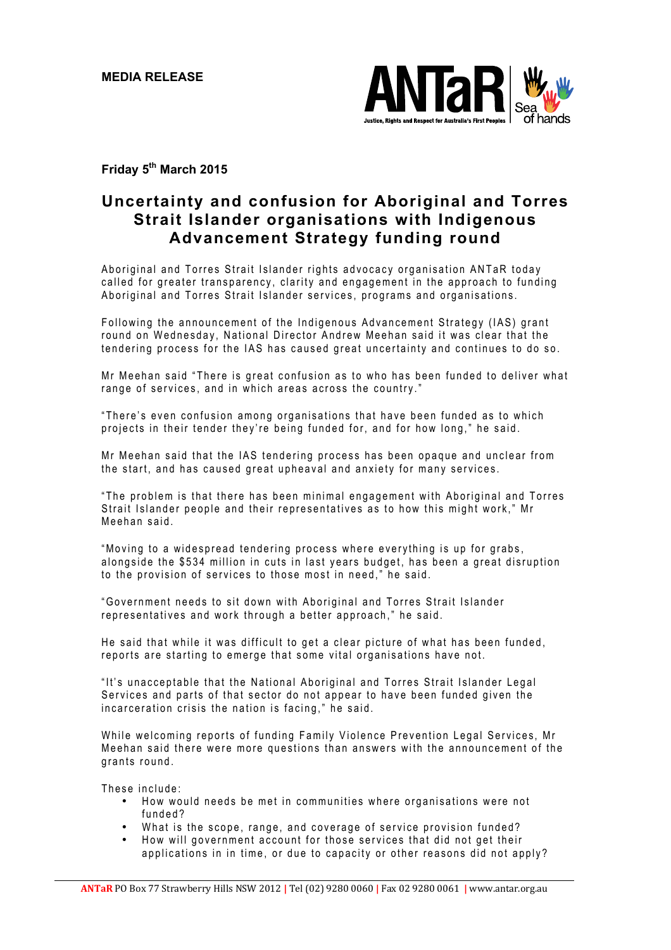

**Friday 5th March 2015**

## **Uncertainty and confusion for Aboriginal and Torres Strait Islander organisations with Indigenous Advancement Strategy funding round**

Aboriginal and Torres Strait Islander rights advocacy organisation ANTaR today called for greater transparency, clarity and engagement in the approach to funding Aboriginal and Torres Strait Islander services, programs and organisations.

Following the an nouncement of the Indigenous Advancement Strategy (IAS) grant round on Wednesday , National Director Andrew Meehan said it was clear that the tendering process for the IAS has caused great uncertainty and continues to do so.

Mr Meehan said "There is great confusion as to who has been funded to deliver what range of services, and in which areas across the country."

"There's even confusion among organisations that have been funded as to which projects in their tender they're being funded for, and for how long," he said.

Mr Meehan said that the IAS tendering process has been opaque and unclear from the start, and has caused great upheaval and anxiety for many services.

"The problem is that there has been minimal engagement with Aboriginal and Torres Strait Islander people and their representatives as to how this might work," Mr Meehan said.

"Moving to a widespread tendering process where everything is up for grabs , alongside the \$534 million in cuts in last years budget, has been a great disruption to the provision of services to those most in need," he said.

"Government needs to sit down with Aboriginal and Torres Strait Islander representatives and work through a better approach," he said.

He said that while it was difficult to get a clear picture of what has been funded , reports are starting to emerge that some vital organisations have not.

"It's unacceptable that the National Aboriginal and Torres Strait Islander Legal Services and parts of that sector do not appear to have been funded given the incarceration crisis the nation is facing ," he said.

While welcoming reports of funding Family Violence Prevention Legal Services , Mr Meehan said there were more questions than answers with the announcement of the grants round.

These include:

- How would needs be met in communities where organisations were not funded?
- What is the scope, range, and coverage of service provision funded?
- How will government account for those services that did not get their applications in in time, or due to capacity or other reasons did not apply?